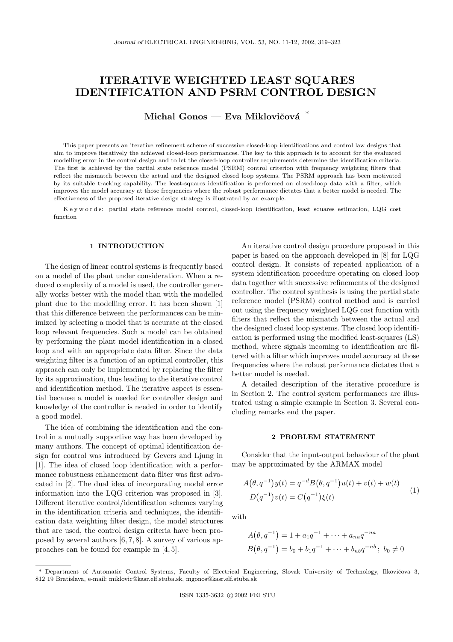# ITERATIVE WEIGHTED LEAST SQUARES IDENTIFICATION AND PSRM CONTROL DESIGN

Michal Gonos — Eva Miklovičová  $*$ 

This paper presents an iterative refinement scheme of successive closed-loop identifications and control law designs that aim to improve iteratively the achieved closed-loop performances. The key to this approach is to account for the evaluated modelling error in the control design and to let the closed-loop controller requirements determine the identification criteria. The first is achieved by the partial state reference model (PSRM) control criterion with frequency weighting filters that reflect the mismatch between the actual and the designed closed loop systems. The PSRM approach has been motivated by its suitable tracking capability. The least-squares identification is performed on closed-loop data with a filter, which improves the model accuracy at those frequencies where the robust performance dictates that a better model is needed. The effectiveness of the proposed iterative design strategy is illustrated by an example.

K e y w o r d s: partial state reference model control, closed-loop identification, least squares estimation, LQG cost function

## 1 INTRODUCTION

The design of linear control systems is frequently based on a model of the plant under consideration. When a reduced complexity of a model is used, the controller generally works better with the model than with the modelled plant due to the modelling error. It has been shown [1] that this difference between the performances can be minimized by selecting a model that is accurate at the closed loop relevant frequencies. Such a model can be obtained by performing the plant model identification in a closed loop and with an appropriate data filter. Since the data weighting filter is a function of an optimal controller, this approach can only be implemented by replacing the filter by its approximation, thus leading to the iterative control and identification method. The iterative aspect is essential because a model is needed for controller design and knowledge of the controller is needed in order to identify a good model.

The idea of combining the identification and the control in a mutually supportive way has been developed by many authors. The concept of optimal identification design for control was introduced by Gevers and Ljung in [1]. The idea of closed loop identification with a performance robustness enhancement data filter was first advocated in [2]. The dual idea of incorporating model error information into the LQG criterion was proposed in [3]. Different iterative control/identification schemes varying in the identification criteria and techniques, the identification data weighting filter design, the model structures that are used, the control design criteria have been proposed by several authors [6, 7, 8]. A survey of various approaches can be found for example in [4, 5].

An iterative control design procedure proposed in this paper is based on the approach developed in [8] for LQG control design. It consists of repeated application of a system identification procedure operating on closed loop data together with successive refinements of the designed controller. The control synthesis is using the partial state reference model (PSRM) control method and is carried out using the frequency weighted LQG cost function with filters that reflect the mismatch between the actual and the designed closed loop systems. The closed loop identification is performed using the modified least-squares (LS) method, where signals incoming to identification are filtered with a filter which improves model accuracy at those frequencies where the robust performance dictates that a better model is needed.

A detailed description of the iterative procedure is in Section 2. The control system performances are illustrated using a simple example in Section 3. Several concluding remarks end the paper.

# 2 PROBLEM STATEMENT

Consider that the input-output behaviour of the plant may be approximated by the ARMAX model

$$
A(\theta, q^{-1})y(t) = q^{-d}B(\theta, q^{-1})u(t) + v(t) + w(t)
$$
  

$$
D(q^{-1})v(t) = C(q^{-1})\xi(t)
$$
 (1)

with

$$
A(\theta, q^{-1}) = 1 + a_1 q^{-1} + \dots + a_{na} q^{-na}
$$
  
\n
$$
B(\theta, q^{-1}) = b_0 + b_1 q^{-1} + \dots + b_{nb} q^{-nb}; \ b_0 \neq 0
$$

Department of Automatic Control Systems, Faculty of Electrical Engineering, Slovak University of Technology, Ilkovičova 3, 812 19 Bratislava, e-mail: miklovic@kasr.elf.stuba.sk, mgonos@kasr.elf.stuba.sk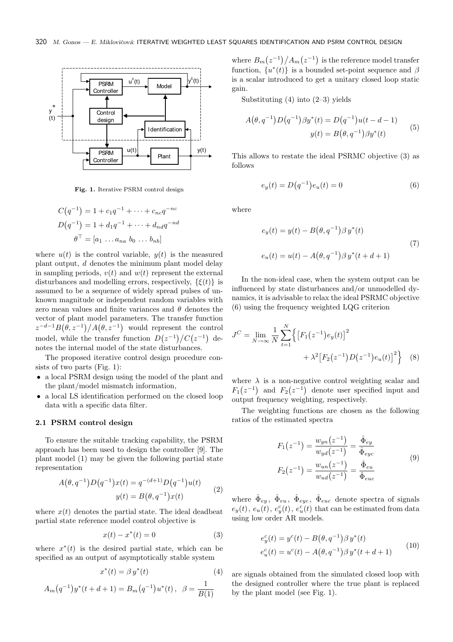

Fig. 1. Iterative PSRM control design

$$
C(q^{-1}) = 1 + c_1 q^{-1} + \dots + c_{nc} q^{-nc}
$$
  

$$
D(q^{-1}) = 1 + d_1 q^{-1} + \dots + d_{nd} q^{-nd}
$$
  

$$
\theta^{\top} = [a_1 \dots a_{na} \ b_0 \dots b_{nb}]
$$

where  $u(t)$  is the control variable,  $y(t)$  is the measured plant output,  $d$  denotes the minimum plant model delay in sampling periods,  $v(t)$  and  $w(t)$  represent the external disturbances and modelling errors, respectively,  $\{\xi(t)\}\$ is assumed to be a sequence of widely spread pulses of unknown magnitude or independent random variables with zero mean values and finite variances and  $\theta$  denotes the vector of plant model parameters. The transfer function  $z^{-d-1}B(\theta, z^{-1})/A(\theta, z^{-1})$  would represent the control model, while the transfer function  $D(z^{-1})/C(z^{-1})$  denotes the internal model of the state disturbances.

The proposed iterative control design procedure consists of two parts (Fig. 1):

- a local PSRM design using the model of the plant and the plant/model mismatch information,
- a local LS identification performed on the closed loop data with a specific data filter.

# 2.1 PSRM control design

To ensure the suitable tracking capability, the PSRM approach has been used to design the controller [9]. The plant model (1) may be given the following partial state representation

$$
A(\theta, q^{-1})D(q^{-1})x(t) = q^{-(d+1)}D(q^{-1})u(t)
$$
  

$$
y(t) = B(\theta, q^{-1})x(t)
$$
 (2)

where  $x(t)$  denotes the partial state. The ideal deadbeat partial state reference model control objective is

$$
x(t) - x^*(t) = 0
$$
 (3)

where  $x^*(t)$  is the desired partial state, which can be specified as an output of asymptotically stable system

$$
x^*(t) = \beta y^*(t) \tag{4}
$$

$$
A_m(q^{-1})y^*(t+d+1) = B_m(q^{-1})u^*(t), \ \ \beta = \frac{1}{B(1)}
$$

where  $B_m(z^{-1})/A_m(z^{-1})$  is the reference model transfer function,  $\{u^*(t)\}\$ is a bounded set-point sequence and  $\beta$ is a scalar introduced to get a unitary closed loop static gain.

Substituting  $(4)$  into  $(2-3)$  yields

$$
A(\theta, q^{-1})D(q^{-1})\beta y^*(t) = D(q^{-1})u(t - d - 1)
$$
  

$$
y(t) = B(\theta, q^{-1})\beta y^*(t)
$$
 (5)

This allows to restate the ideal PSRMC objective (3) as follows

$$
e_y(t) = D(q^{-1})e_u(t) = 0
$$
\n(6)

where

$$
e_y(t) = y(t) - B(\theta, q^{-1})\beta y^*(t)
$$
  
\n
$$
e_u(t) = u(t) - A(\theta, q^{-1})\beta y^*(t + d + 1)
$$
\n(7)

In the non-ideal case, when the system output can be influenced by state disturbances and/or unmodelled dynamics, it is advisable to relax the ideal PSRMC objective (6) using the frequency weighted LQG criterion

$$
J^{C} = \lim_{N \to \infty} \frac{1}{N} \sum_{t=1}^{N} \left\{ \left[ F_{1}(z^{-1}) e_{y}(t) \right]^{2} + \lambda^{2} \left[ F_{2}(z^{-1}) D(z^{-1}) e_{u}(t) \right]^{2} \right\} \tag{8}
$$

where  $\lambda$  is a non-negative control weighting scalar and  $F_1(z^{-1})$  and  $F_2(z^{-1})$  denote user specified input and output frequency weighting, respectively.

The weighting functions are chosen as the following ratios of the estimated spectra

$$
F_1(z^{-1}) = \frac{w_{yn}(z^{-1})}{w_{yd}(z^{-1})} = \frac{\hat{\Phi}_{ey}}{\hat{\Phi}_{eyc}}
$$
  

$$
F_2(z^{-1}) = \frac{w_{un}(z^{-1})}{w_{ud}(z^{-1})} = \frac{\hat{\Phi}_{eu}}{\hat{\Phi}_{euc}}
$$
(9)

where  $\hat{\Phi}_{ey}$ ,  $\hat{\Phi}_{eu}$ ,  $\hat{\Phi}_{eye}$ ,  $\hat{\Phi}_{euc}$  denote spectra of signals  $e_y(t)$ ,  $e_u(t)$ ,  $e_y^c(t)$ ,  $e_u^c(t)$  that can be estimated from data using low order AR models.

$$
e_y^c(t) = y^c(t) - B(\theta, q^{-1})\beta y^*(t)
$$
  
\n
$$
e_u^c(t) = u^c(t) - A(\theta, q^{-1})\beta y^*(t + d + 1)
$$
\n(10)

are signals obtained from the simulated closed loop with the designed controller where the true plant is replaced by the plant model (see Fig. 1).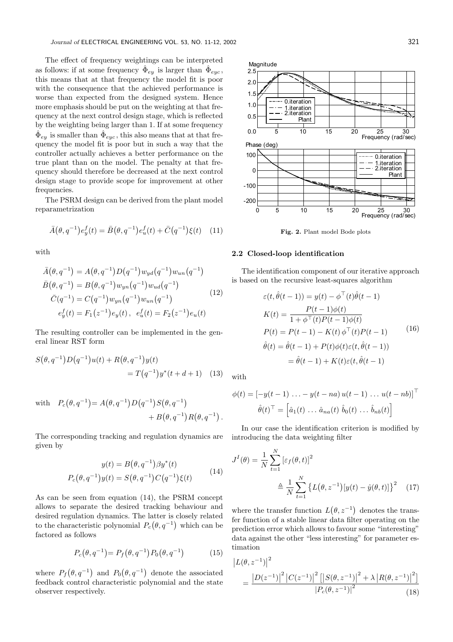The effect of frequency weightings can be interpreted as follows: if at some frequency  $\hat{\Phi}_{ey}$  is larger than  $\hat{\Phi}_{eye}$ , this means that at that frequency the model fit is poor with the consequence that the achieved performance is worse than expected from the designed system. Hence more emphasis should be put on the weighting at that frequency at the next control design stage, which is reflected by the weighting being larger than 1. If at some frequency  $\hat{\Phi}_{ey}$  is smaller than  $\hat{\Phi}_{eye}$ , this also means that at that frequency the model fit is poor but in such a way that the controller actually achieves a better performance on the true plant than on the model. The penalty at that frequency should therefore be decreased at the next control design stage to provide scope for improvement at other frequencies.

The PSRM design can be derived from the plant model reparametrization

$$
\bar{A}(\theta, q^{-1})e_y^f(t) = \bar{B}(\theta, q^{-1})e_u^f(t) + \bar{C}(q^{-1})\xi(t) \quad (11)
$$

with

$$
\bar{A}(\theta, q^{-1}) = A(\theta, q^{-1}) D(q^{-1}) w_{yd}(q^{-1}) w_{un}(q^{-1})
$$
\n
$$
\bar{B}(\theta, q^{-1}) = B(\theta, q^{-1}) w_{yn}(q^{-1}) w_{ud}(q^{-1})
$$
\n
$$
\bar{C}(q^{-1}) = C(q^{-1}) w_{yn}(q^{-1}) w_{un}(q^{-1})
$$
\n
$$
e_y^f(t) = F_1(z^{-1}) e_y(t), \quad e_u^f(t) = F_2(z^{-1}) e_u(t)
$$
\n(12)

The resulting controller can be implemented in the general linear RST form

$$
S(\theta, q^{-1})D(q^{-1})u(t) + R(\theta, q^{-1})y(t)
$$
  
=  $T(q^{-1})y^*(t + d + 1)$  (13)

with 
$$
P_c(\theta, q^{-1}) = A(\theta, q^{-1})D(q^{-1})S(\theta, q^{-1})
$$
  
+  $B(\theta, q^{-1})R(\theta, q^{-1}).$ 

The corresponding tracking and regulation dynamics are given by

$$
y(t) = B(\theta, q^{-1})\beta y^*(t)
$$
  
\n
$$
P_c(\theta, q^{-1})y(t) = S(\theta, q^{-1})C(q^{-1})\xi(t)
$$
\n(14)

As can be seen from equation (14), the PSRM concept allows to separate the desired tracking behaviour and desired regulation dynamics. The latter is closely related to the characteristic polynomial  $P_c(\theta, q^{-1})$  which can be factored as follows

$$
P_c(\theta, q^{-1}) = P_f(\theta, q^{-1}) P_0(\theta, q^{-1})
$$
 (15)

where  $P_f(\theta, q^{-1})$  and  $P_0(\theta, q^{-1})$  denote the associated feedback control characteristic polynomial and the state observer respectively.



Fig. 2. Plant model Bode plots

# 2.2 Closed-loop identification

The identification component of our iterative approach is based on the recursive least-squares algorithm

$$
\varepsilon(t, \hat{\theta}(t-1)) = y(t) - \phi^{\top}(t)\hat{\theta}(t-1)
$$

$$
K(t) = \frac{P(t-1)\phi(t)}{1 + \phi^{\top}(t)P(t-1)\phi(t)}
$$

$$
P(t) = P(t-1) - K(t)\phi^{\top}(t)P(t-1)
$$

$$
\hat{\theta}(t) = \hat{\theta}(t-1) + P(t)\phi(t)\varepsilon(t, \hat{\theta}(t-1))
$$

$$
= \hat{\theta}(t-1) + K(t)\varepsilon(t, \hat{\theta}(t-1))
$$

with

$$
\phi(t) = \left[ -y(t-1) \dots - y(t-na) u(t-1) \dots u(t-nb) \right]^\top
$$

$$
\hat{\theta}(t)^\top = \left[ \hat{a}_1(t) \dots \hat{a}_{na}(t) \hat{b}_0(t) \dots \hat{b}_{nb}(t) \right]
$$

In our case the identification criterion is modified by introducing the data weighting filter

$$
J^{I}(\theta) = \frac{1}{N} \sum_{t=1}^{N} \left[ \varepsilon_{f}(\theta, t) \right]^{2}
$$

$$
\triangleq \frac{1}{N} \sum_{t=1}^{N} \left\{ L(\theta, z^{-1}) \left[ y(t) - \hat{y}(\theta, t) \right] \right\}^{2} \quad (17)
$$

where the transfer function  $L(\theta, z^{-1})$  denotes the transfer function of a stable linear data filter operating on the prediction error which allows to favour some "interesting" data against the other "less interesting" for parameter estimation

$$
\left| L(\theta, z^{-1}) \right|^2 = \frac{\left| D(z^{-1}) \right|^2 \left| C(z^{-1}) \right|^2 \left[ \left| S(\theta, z^{-1}) \right|^2 + \lambda \left| R(\theta, z^{-1}) \right|^2 \right]}{\left| P_c(\theta, z^{-1}) \right|^2} \tag{18}
$$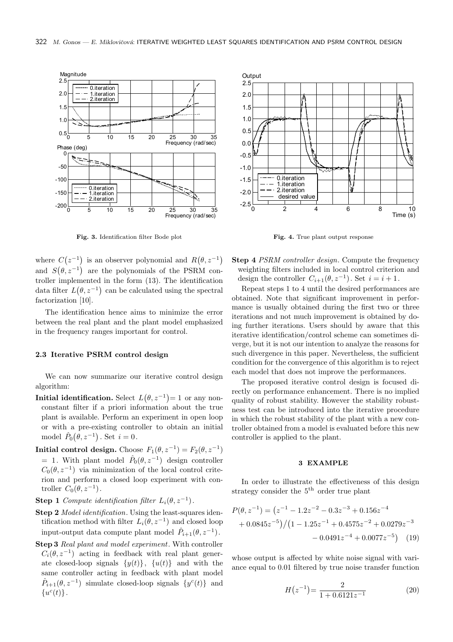

Fig. 3. Identification filter Bode plot

where  $C(z^{-1})$  is an observer polynomial and  $R(\theta, z^{-1})$ and  $S(\theta, z^{-1})$  are the polynomials of the PSRM controller implemented in the form (13). The identification data filter  $L(\theta, z^{-1})$  can be calculated using the spectral factorization [10].

The identification hence aims to minimize the error between the real plant and the plant model emphasized in the frequency ranges important for control.

### 2.3 Iterative PSRM control design

We can now summarize our iterative control design algorithm:

- **Initial identification.** Select  $L(\theta, z^{-1}) = 1$  or any nonconstant filter if a priori information about the true plant is available. Perform an experiment in open loop or with a pre-existing controller to obtain an initial model  $\hat{P}_0(\theta, z^{-1})$ . Set  $i = 0$ .
- Initial control design. Choose  $F_1(\theta, z^{-1}) = F_2(\theta, z^{-1})$ = 1. With plant model  $\hat{P}_0(\theta, z^{-1})$  design controller  $C_0(\theta, z^{-1})$  via minimization of the local control criterion and perform a closed loop experiment with controller  $C_0(\theta, z^{-1})$ .
- **Step 1** Compute identification filter  $L_i(\theta, z^{-1})$ .
- Step 2 *Model identification*. Using the least-squares identification method with filter  $L_i(\theta, z^{-1})$  and closed loop input-output data compute plant model  $\hat{P}_{i+1}(\theta, z^{-1})$ .
- Step 3 Real plant and model experiment. With controller  $C_i(\theta, z^{-1})$  acting in feedback with real plant generate closed-loop signals  $\{y(t)\}, \{u(t)\}\$  and with the same controller acting in feedback with plant model  $\hat{P}_{i+1}(\theta, z^{-1})$  simulate closed-loop signals  $\{y^{c}(t)\}\$ and  $\{u^c(t)\}.$



Fig. 4. True plant output response

Step 4 *PSRM controller design*. Compute the frequency weighting filters included in local control criterion and design the controller  $C_{i+1}(\theta, z^{-1})$ . Set  $i = i + 1$ .

Repeat steps 1 to 4 until the desired performances are obtained. Note that significant improvement in performance is usually obtained during the first two or three iterations and not much improvement is obtained by doing further iterations. Users should by aware that this iterative identification/control scheme can sometimes diverge, but it is not our intention to analyze the reasons for such divergence in this paper. Nevertheless, the sufficient condition for the convergence of this algorithm is to reject each model that does not improve the performances.

The proposed iterative control design is focused directly on performance enhancement. There is no implied quality of robust stability. However the stability robustness test can be introduced into the iterative procedure in which the robust stability of the plant with a new controller obtained from a model is evaluated before this new controller is applied to the plant.

# 3 EXAMPLE

In order to illustrate the effectiveness of this design strategy consider the  $5<sup>th</sup>$  order true plant

$$
P(\theta, z^{-1}) = (z^{-1} - 1.2z^{-2} - 0.3z^{-3} + 0.156z^{-4}
$$
  
+ 0.0845z^{-5}) / (1 - 1.25z^{-1} + 0.4575z^{-2} + 0.0279z^{-3}  
- 0.0491z^{-4} + 0.0077z^{-5}) (19)

whose output is affected by white noise signal with variance equal to 0.01 filtered by true noise transfer function

$$
H(z^{-1}) = \frac{2}{1 + 0.6121z^{-1}}
$$
 (20)